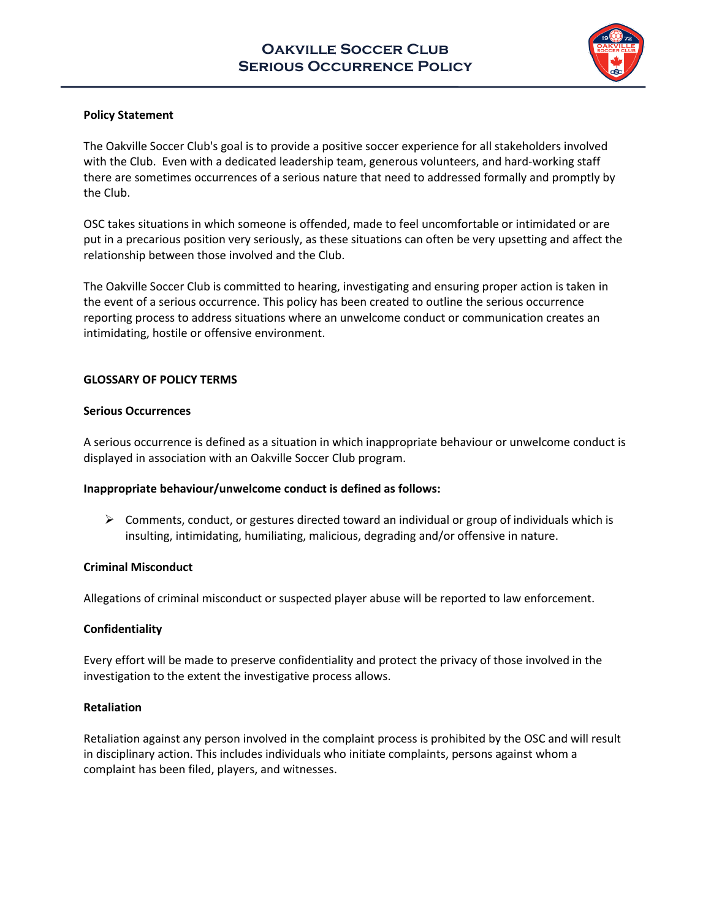

## **Policy Statement**

The Oakville Soccer Club's goal is to provide a positive soccer experience for all stakeholders involved with the Club. Even with a dedicated leadership team, generous volunteers, and hard-working staff there are sometimes occurrences of a serious nature that need to addressed formally and promptly by the Club.

OSC takes situations in which someone is offended, made to feel uncomfortable or intimidated or are put in a precarious position very seriously, as these situations can often be very upsetting and affect the relationship between those involved and the Club.

The Oakville Soccer Club is committed to hearing, investigating and ensuring proper action is taken in the event of a serious occurrence. This policy has been created to outline the serious occurrence reporting process to address situations where an unwelcome conduct or communication creates an intimidating, hostile or offensive environment.

### **GLOSSARY OF POLICY TERMS**

### **Serious Occurrences**

A serious occurrence is defined as a situation in which inappropriate behaviour or unwelcome conduct is displayed in association with an Oakville Soccer Club program.

### **Inappropriate behaviour/unwelcome conduct is defined as follows:**

 $\triangleright$  Comments, conduct, or gestures directed toward an individual or group of individuals which is insulting, intimidating, humiliating, malicious, degrading and/or offensive in nature.

### **Criminal Misconduct**

Allegations of criminal misconduct or suspected player abuse will be reported to law enforcement.

# **Confidentiality**

Every effort will be made to preserve confidentiality and protect the privacy of those involved in the investigation to the extent the investigative process allows.

### **Retaliation**

Retaliation against any person involved in the complaint process is prohibited by the OSC and will result in disciplinary action. This includes individuals who initiate complaints, persons against whom a complaint has been filed, players, and witnesses.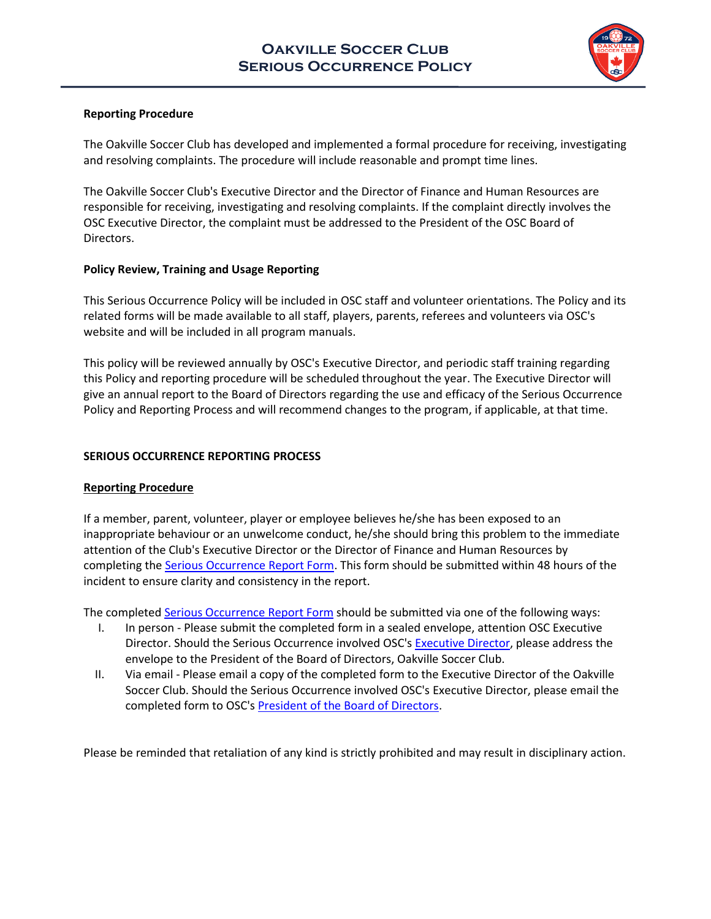

## **Reporting Procedure**

The Oakville Soccer Club has developed and implemented a formal procedure for receiving, investigating and resolving complaints. The procedure will include reasonable and prompt time lines.

The Oakville Soccer Club's Executive Director and the Director of Finance and Human Resources are responsible for receiving, investigating and resolving complaints. If the complaint directly involves the OSC Executive Director, the complaint must be addressed to the President of the OSC Board of Directors.

### **Policy Review, Training and Usage Reporting**

This Serious Occurrence Policy will be included in OSC staff and volunteer orientations. The Policy and its related forms will be made available to all staff, players, parents, referees and volunteers via OSC's website and will be included in all program manuals.

This policy will be reviewed annually by OSC's Executive Director, and periodic staff training regarding this Policy and reporting procedure will be scheduled throughout the year. The Executive Director will give an annual report to the Board of Directors regarding the use and efficacy of the Serious Occurrence Policy and Reporting Process and will recommend changes to the program, if applicable, at that time.

## **SERIOUS OCCURRENCE REPORTING PROCESS**

### **Reporting Procedure**

If a member, parent, volunteer, player or employee believes he/she has been exposed to an inappropriate behaviour or an unwelcome conduct, he/she should bring this problem to the immediate attention of the Club's Executive Director or the Director of Finance and Human Resources by completing the **Serious Occurrence Report Form**. This form should be submitted within 48 hours of the incident to ensure clarity and consistency in the report.

The complete[d Serious Occurrence Report Form](http://www.oakvillesoccer.ca/images/publications/2016/club-info/org-policies/osc-serious-occurrence-report-form-2016.pdf) should be submitted via one of the following ways:

- I. In person Please submit the completed form in a sealed envelope, attention OSC Executive Director. Should the Serious Occurrence involved OSC'[s Executive Director,](mailto:dharris@oakvillesoccer.ca) please address the envelope to the President of the Board of Directors, Oakville Soccer Club.
- II. Via email Please email a copy of the completed form to the Executive Director of the Oakville Soccer Club. Should the Serious Occurrence involved OSC's Executive Director, please email the completed form to OSC's [President of the Board of Directors.](mailto:president@oakvillesoccer.ca)

Please be reminded that retaliation of any kind is strictly prohibited and may result in disciplinary action.